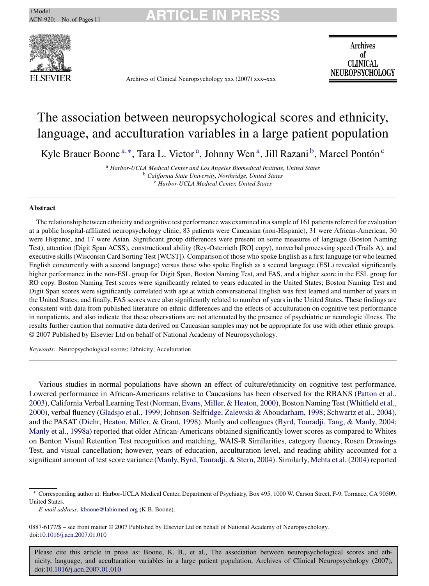



Archives of Clinical Neuropsychology xxx (2007) xxx–xxx

**Archives** of **CLINICAL NEUROPSYCHOLOGY** 

### The association between neuropsychological scores and ethnicity, language, and acculturation variables in a large patient population

Kyle Brauer Boone<sup>a,\*</sup>, Tara L. Victor<sup>a</sup>, Johnny Wen<sup>a</sup>, Jill Razani<sup>b</sup>, Marcel Pontón<sup>c</sup>

<sup>a</sup> *Harbor-UCLA Medical Center and Los Angeles Biomedical Institute, United States* <sup>b</sup> *California State University, Northridge, United States* <sup>c</sup> *Harbor-UCLA Medical Center, United States*

### **Abstract**

The relationship between ethnicity and cognitive test performance was examined in a sample of 161 patients referred for evaluation at a public hospital-affiliated neuropsychology clinic; 83 patients were Caucasian (non-Hispanic), 31 were African-American, 30 were Hispanic, and 17 were Asian. Significant group differences were present on some measures of language (Boston Naming Test), attention (Digit Span ACSS), constructional ability (Rey-Osterrieth [RO] copy), nonverbal processing speed (Trails A), and executive skills (Wisconsin Card Sorting Test [WCST]). Comparison of those who spoke English as a first language (or who learned English concurrently with a second language) versus those who spoke English as a second language (ESL) revealed significantly higher performance in the non-ESL group for Digit Span, Boston Naming Test, and FAS, and a higher score in the ESL group for RO copy. Boston Naming Test scores were significantly related to years educated in the United States; Boston Naming Test and Digit Span scores were significantly correlated with age at which conversational English was first learned and number of years in the United States; and finally, FAS scores were also significantly related to number of years in the United States. These findings are consistent with data from published literature on ethnic differences and the effects of acculturation on cognitive test performance in nonpatients, and also indicate that these observations are not attenuated by the presence of psychiatric or neurologic illness. The results further caution that normative data derived on Caucasian samples may not be appropriate for use with other ethnic groups. © 2007 Published by Elsevier Ltd on behalf of National Academy of Neuropsychology.

*Keywords:* Neuropsychological scores; Ethnicity; Acculturation

Various studies in normal populations have shown an effect of culture/ethnicity on cognitive test performance. Lowered performance in African-Americans relative to Caucasians has been observed for the RBANS ([Patton et al.,](#page-9-0) [2003\),](#page-9-0) California Verbal Learning Test ([Norman, Evans, Miller, & Heaton, 2000\),](#page-9-0) Boston Naming Test ([Whitfield et al.,](#page-10-0) [2000\),](#page-10-0) verbal fluency [\(Gladsjo et al., 1999;](#page-8-0) [Johnson-Selfridge, Zalewski & Aboudarham, 1998;](#page-8-0) [Schwartz et al., 2004\),](#page-10-0) and the PASAT ([Diehr, Heaton, Miller, & Grant, 1998\).](#page-8-0) Manly and colleagues [\(Byrd, Touradji, Tang, & Manly, 2004;](#page-8-0) [Manly et al., 1998a\)](#page-9-0) reported that older African-Americans obtained significantly lower scores as compared to Whites on Benton Visual Retention Test recognition and matching, WAIS-R Similarities, category fluency, Rosen Drawings Test, and visual cancellation; however, years of education, acculturation level, and reading ability accounted for a significant amount of test score variance [\(Manly, Byrd, Touradji, & Stern, 2004\).](#page-9-0) Similarly, [Mehta et al. \(2004\)](#page-9-0) reported

0887-6177/\$ – see front matter © 2007 Published by Elsevier Ltd on behalf of National Academy of Neuropsychology. doi:[10.1016/j.acn.2007.01.010](dx.doi.org/10.1016/j.acn.2007.01.010)

<sup>∗</sup> Corresponding author at: Harbor-UCLA Medical Center, Department of Psychiatry, Box 495, 1000 W. Carson Street, F-9, Torrance, CA 90509, United States.

*E-mail address:* [kboone@labiomed.org](mailto:kboone@labiomed.org) (K.B. Boone).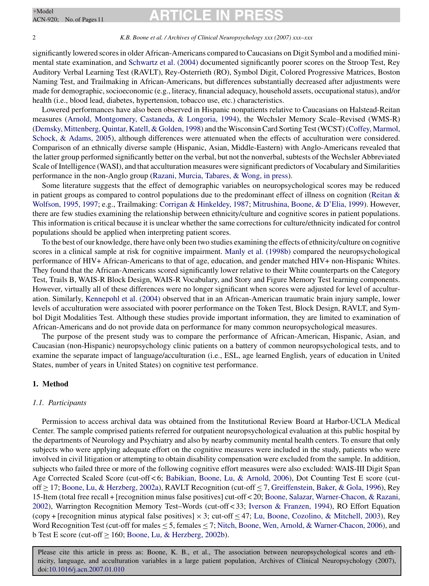#### 2 *K.B. Boone et al. / Archives of Clinical Neuropsychology xxx (2007) xxx–xxx*

significantly lowered scores in older African-Americans compared to Caucasians on Digit Symbol and a modified minimental state examination, and [Schwartz et al. \(2004\)](#page-10-0) documented significantly poorer scores on the Stroop Test, Rey Auditory Verbal Learning Test (RAVLT), Rey-Osterrieth (RO), Symbol Digit, Colored Progressive Matrices, Boston Naming Test, and Trailmaking in African-Americans, but differences substantially decreased after adjustments were made for demographic, socioeconomic (e.g., literacy, financial adequacy, household assets, occupational status), and/or health (i.e., blood lead, diabetes, hypertension, tobacco use, etc.) characteristics.

Lowered performances have also been observed in Hispanic nonpatients relative to Caucasians on Halstead-Reitan measures ([Arnold, Montgomery, Castaneda, & Longoria, 1994\),](#page-8-0) the Wechsler Memory Scale–Revised (WMS-R) ([Demsky, Mittenberg, Quintar, Katell, & Golden, 1998\) a](#page-8-0)nd the Wisconsin Card Sorting Test (WCST) [\(Coffey, Marmol,](#page-8-0) [Schock, & Adams, 2005\),](#page-8-0) although differences were attenuated when the effects of acculturation were considered. Comparison of an ethnically diverse sample (Hispanic, Asian, Middle-Eastern) with Anglo-Americans revealed that the latter group performed significantly better on the verbal, but not the nonverbal, subtests of the Wechsler Abbreviated Scale of Intelligence (WASI), and that acculturation measures were significant predictors of Vocabulary and Similarities performance in the non-Anglo group ([Razani, Murcia, Tabares, & Wong, in press\).](#page-9-0)

Some literature suggests that the effect of demographic variables on neuropsychological scores may be reduced in patient groups as compared to control populations due to the predominant effect of illness on cognition [\(Reitan &](#page-9-0) [Wolfson, 1995, 1997;](#page-9-0) e.g., Trailmaking: [Corrigan & Hinkeldey, 1987;](#page-8-0) [Mitrushina, Boone, & D'Elia, 1999\).](#page-9-0) However, there are few studies examining the relationship between ethnicity/culture and cognitive scores in patient populations. This information is critical because it is unclear whether the same corrections for culture/ethnicity indicated for control populations should be applied when interpreting patient scores.

To the best of our knowledge, there have only been two studies examining the effects of ethnicity/culture on cognitive scores in a clinical sample at risk for cognitive impairment. [Manly et al. \(1998b\)](#page-9-0) compared the neuropsychological performance of HIV+ African-Americans to that of age, education, and gender matched HIV+ non-Hispanic Whites. They found that the African-Americans scored significantly lower relative to their White counterparts on the Category Test, Trails B, WAIS-R Block Design, WAIS-R Vocabulary, and Story and Figure Memory Test learning components. However, virtually all of these differences were no longer significant when scores were adjusted for level of acculturation. Similarly, [Kennepohl et al. \(2004\)](#page-8-0) observed that in an African-American traumatic brain injury sample, lower levels of acculturation were associated with poorer performance on the Token Test, Block Design, RAVLT, and Symbol Digit Modalities Test. Although these studies provide important information, they are limited to examination of African-Americans and do not provide data on performance for many common neuropsychological measures.

The purpose of the present study was to compare the performance of African-American, Hispanic, Asian, and Caucasian (non-Hispanic) neuropsychology clinic patients on a battery of common neuropsychological tests, and to examine the separate impact of language/acculturation (i.e., ESL, age learned English, years of education in United States, number of years in United States) on cognitive test performance.

### **1. Method**

### *1.1. Participants*

Permission to access archival data was obtained from the Institutional Review Board at Harbor-UCLA Medical Center. The sample comprised patients referred for outpatient neuropsychological evaluation at this public hospital by the departments of Neurology and Psychiatry and also by nearby community mental health centers. To ensure that only subjects who were applying adequate effort on the cognitive measures were included in the study, patients who were involved in civil litigation or attempting to obtain disability compensation were excluded from the sample. In addition, subjects who failed three or more of the following cognitive effort measures were also excluded: WAIS-III Digit Span Age Corrected Scaled Score (cut-off < 6; [Babikian, Boone, Lu, & Arnold, 2006\),](#page-8-0) Dot Counting Test E score (cutoff ≥ 17; [Boone, Lu, & Herzberg, 2002a\),](#page-8-0) RAVLT Recognition (cut-off ≤ 7, [Greiffenstein, Baker, & Gola, 1996\),](#page-8-0) Rey 15-Item (total free recall + [recognition minus false positives] cut-off < 20; [Boone, Salazar, Warner-Chacon, & Razani,](#page-8-0) [2002\),](#page-8-0) Warrington Recognition Memory Test–Words (cut-off < 33; [Iverson & Franzen, 1994\),](#page-8-0) RO Effort Equation (copy + [recognition minus atypical false positives]  $\times$  3; cut-off  $\leq$  47; [Lu, Boone, Cozolino, & Mitchell, 2003\),](#page-9-0) Rey Word Recognition Test (cut-off for males  $\leq$  5, females  $\leq$  7; [Nitch, Boone, Wen, Arnold, & Warner-Chacon, 2006\),](#page-9-0) and b Test E score (cut-off  $> 160$ ; [Boone, Lu, & Herzberg, 2002b\).](#page-8-0)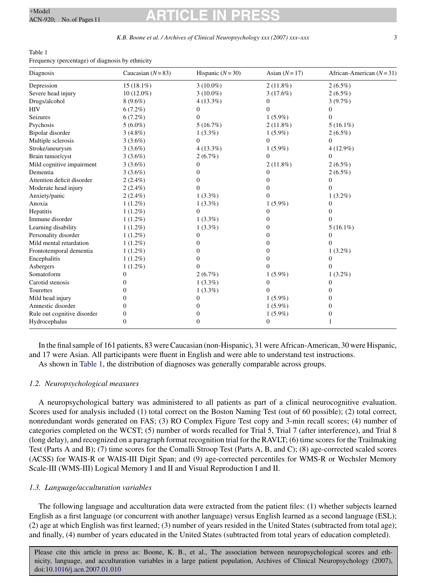#### Table 1

Frequency (percentage) of diagnosis by ethnicity

| Diagnosis                   | Caucasian $(N=83)$ | Hispanic $(N=30)$ | Asian $(N=17)$   | African-American $(N=31)$ |
|-----------------------------|--------------------|-------------------|------------------|---------------------------|
| Depression                  | $15(18.1\%)$       | $3(10.0\%)$       | $2(11.8\%)$      | $2(6.5\%)$                |
| Severe head injury          | $10(12.0\%)$       | $3(10.0\%)$       | 3(17.6%)         | $2(6.5\%)$                |
| Drugs/alcohol               | $8(9.6\%)$         | 4(13.3%)          | $\overline{0}$   | 3(9.7%)                   |
| <b>HIV</b>                  | $6(7.2\%)$         | 0                 | $\theta$         | 0                         |
| Seizures                    | $6(7.2\%)$         | $\Omega$          | $1(5.9\%)$       | 0                         |
| Psychosis                   | $5(6.0\%)$         | 5(16.7%)          | $2(11.8\%)$      | $5(16.1\%)$               |
| Bipolar disorder            | $3(4.8\%)$         | $1(3.3\%)$        | $1(5.9\%)$       | $2(6.5\%)$                |
| Multiple sclerosis          | $3(3.6\%)$         | $\overline{0}$    | $\mathbf{0}$     | 0                         |
| Stroke/aneurysm             | $3(3.6\%)$         | $4(13.3\%)$       | $1(5.9\%)$       | $4(12.9\%)$               |
| Brain tumor/cyst            | 3(3.6%)            | 2(6.7%)           | $\mathbf{0}$     | 0                         |
| Mild cognitive impairment   | $3(3.6\%)$         | 0                 | $2(11.8\%)$      | $2(6.5\%)$                |
| Dementia                    | $3(3.6\%)$         | 0                 | $\overline{0}$   | $2(6.5\%)$                |
| Attention deficit disorder  | $2(2.4\%)$         | $\mathbf{0}$      | $\overline{0}$   | 0                         |
| Moderate head injury        | $2(2.4\%)$         | 0                 | $\overline{0}$   | 0                         |
| Anxiety/panic               | $2(2.4\%)$         | $1(3.3\%)$        | $\theta$         | $1(3.2\%)$                |
| Anoxia                      | $1(1.2\%)$         | $1(3.3\%)$        | $1(5.9\%)$       | 0                         |
| Hepatitis                   | $1(1.2\%)$         | $\overline{0}$    | $\boldsymbol{0}$ | 0                         |
| Immune disorder             | $1(1.2\%)$         | $1(3.3\%)$        | 0                | 0                         |
| Learning disability         | $1(1.2\%)$         | $1(3.3\%)$        | 0                | $5(16.1\%)$               |
| Personality disorder        | $1(1.2\%)$         | 0                 | $\overline{0}$   | 0                         |
| Mild mental retardation     | $1(1.2\%)$         | 0                 | 0                | 0                         |
| Frontotemporal dementia     | $1(1.2\%)$         | 0                 | $\theta$         | $1(3.2\%)$                |
| Encephalitis                | $1(1.2\%)$         | 0                 | $\boldsymbol{0}$ | 0                         |
| Asbergers                   | $1(1.2\%)$         | $\overline{0}$    | $\mathbf{0}$     | 0                         |
| Somatoform                  | $\mathbf{0}$       | 2(6.7%)           | $1(5.9\%)$       | $1(3.2\%)$                |
| Carotid stenosis            | $^{0}$             | $1(3.3\%)$        | $\mathbf{0}$     | 0                         |
| Tourettes                   | 0                  | $1(3.3\%)$        | $\Omega$         | 0                         |
| Mild head injury            | 0                  | 0                 | $1(5.9\%)$       | 0                         |
| Amnestic disorder           | $^{0}$             | 0                 | $1(5.9\%)$       | 0                         |
| Rule out cognitive disorder | $\mathbf{0}$       | 0                 | $1(5.9\%)$       | 0                         |
| Hydrocephalus               | $\Omega$           | $\boldsymbol{0}$  | $\mathbf{0}$     |                           |

In the final sample of 161 patients, 83 were Caucasian (non-Hispanic), 31 were African-American, 30 were Hispanic, and 17 were Asian. All participants were fluent in English and were able to understand test instructions.

As shown in Table 1, the distribution of diagnoses was generally comparable across groups.

### *1.2. Neuropsychological measures*

A neuropsychological battery was administered to all patients as part of a clinical neurocognitive evaluation. Scores used for analysis included (1) total correct on the Boston Naming Test (out of 60 possible); (2) total correct, nonredundant words generated on FAS; (3) RO Complex Figure Test copy and 3-min recall scores; (4) number of categories completed on the WCST; (5) number of words recalled for Trial 5, Trial 7 (after interference), and Trial 8 (long delay), and recognized on a paragraph format recognition trial for the RAVLT; (6) time scores for the Trailmaking Test (Parts A and B); (7) time scores for the Comalli Stroop Test (Parts A, B, and C); (8) age-corrected scaled scores (ACSS) for WAIS-R or WAIS-III Digit Span; and (9) age-corrected percentiles for WMS-R or Wechsler Memory Scale-III (WMS-III) Logical Memory I and II and Visual Reproduction I and II.

### *1.3. Language/acculturation variables*

The following language and acculturation data were extracted from the patient files: (1) whether subjects learned English as a first language (or concurrent with another language) versus English learned as a second language (ESL); (2) age at which English was first learned; (3) number of years resided in the United States (subtracted from total age); and finally, (4) number of years educated in the United States (subtracted from total years of education completed).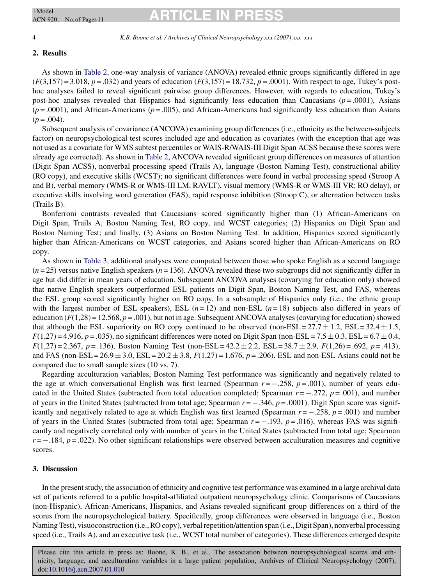#### 4 *K.B. Boone et al. / Archives of Clinical Neuropsychology xxx (2007) xxx–xxx*

### **2. Results**

As shown in [Table 2,](#page-4-0) one-way analysis of variance (ANOVA) revealed ethnic groups significantly differed in age  $(F(3,157) = 3.018, p = .032)$  and years of education  $(F(3,157) = 18.732, p = .0001)$ . With respect to age, Tukey's posthoc analyses failed to reveal significant pairwise group differences. However, with regards to education, Tukey's post-hoc analyses revealed that Hispanics had significantly less education than Caucasians  $(p=.0001)$ , Asians  $(p = .0001)$ , and African-Americans  $(p = .005)$ , and African-Americans had significantly less education than Asians  $(p=.004)$ .

Subsequent analysis of covariance (ANCOVA) examining group differences (i.e., ethnicity as the between-subjects factor) on neuropsychological test scores included age and education as covariates (with the exception that age was not used as a covariate for WMS subtest percentiles or WAIS-R/WAIS-III Digit Span ACSS because these scores were already age corrected). As shown in [Table 2, A](#page-4-0)NCOVA revealed significant group differences on measures of attention (Digit Span ACSS), nonverbal processing speed (Trails A), language (Boston Naming Test), constructional ability (RO copy), and executive skills (WCST); no significant differences were found in verbal processing speed (Stroop A and B), verbal memory (WMS-R or WMS-III LM, RAVLT), visual memory (WMS-R or WMS-III VR; RO delay), or executive skills involving word generation (FAS), rapid response inhibition (Stroop C), or alternation between tasks (Trails B).

Bonferroni contrasts revealed that Caucasians scored significantly higher than (1) African-Americans on Digit Span, Trails A, Boston Naming Test, RO copy, and WCST categories; (2) Hispanics on Digit Span and Boston Naming Test; and finally, (3) Asians on Boston Naming Test. In addition, Hispanics scored significantly higher than African-Americans on WCST categories, and Asians scored higher than African-Americans on RO copy.

As shown in [Table 3,](#page-5-0) additional analyses were computed between those who spoke English as a second language (*n* = 25) versus native English speakers (*n* = 136). ANOVA revealed these two subgroups did not significantly differ in age but did differ in mean years of education. Subsequent ANCOVA analyses (covarying for education only) showed that native English speakers outperformed ESL patients on Digit Span, Boston Naming Test, and FAS, whereas the ESL group scored significantly higher on RO copy. In a subsample of Hispanics only (i.e., the ethnic group with the largest number of ESL speakers), ESL  $(n=12)$  and non-ESL  $(n=18)$  subjects also differed in years of education  $(F(1,28) = 12.568, p = .001)$ , but not in age. Subsequent ANCOVA analyses (covarying for education) showed that although the ESL superiority on RO copy continued to be observed (non-ESL =  $27.7 \pm 1.2$ , ESL =  $32.4 \pm 1.5$ ,  $F(1,27) = 4.916$ ,  $p = .035$ ), no significant differences were noted on Digit Span (non-ESL = 7.5  $\pm$  0.3, ESL = 6.7  $\pm$  0.4, *F*(1,27) = 2.367, *p* = .136), Boston Naming Test (non-ESL = 42.2 ± 2.2, ESL = 38.7 ± 2.9, *F*(1,26) = .692, *p* = .413), and FAS (non-ESL =  $26.9 \pm 3.0$ , ESL =  $20.2 \pm 3.8$ ,  $F(1,27) = 1.676$ ,  $p = .206$ ). ESL and non-ESL Asians could not be compared due to small sample sizes (10 vs. 7).

Regarding acculturation variables, Boston Naming Test performance was significantly and negatively related to the age at which conversational English was first learned (Spearman *r* = −.258, *p* = .001), number of years educated in the United States (subtracted from total education completed; Spearman  $r = -0.272$ ,  $p = 0.001$ ), and number of years in the United States (subtracted from total age; Spearman *r* = −.346, *p* = .0001). Digit Span score was significantly and negatively related to age at which English was first learned (Spearman *r* = −.258, *p* = .001) and number of years in the United States (subtracted from total age; Spearman *r* = −.193, *p* = .016), whereas FAS was significantly and negatively correlated only with number of years in the United States (subtracted from total age; Spearman *r* = −.184, *p* = .022). No other significant relationships were observed between acculturation measures and cognitive scores.

### **3. Discussion**

In the present study, the association of ethnicity and cognitive test performance was examined in a large archival data set of patients referred to a public hospital-affiliated outpatient neuropsychology clinic. Comparisons of Caucasians (non-Hispanic), African-Americans, Hispanics, and Asians revealed significant group differences on a third of the scores from the neuropsychological battery. Specifically, group differences were observed in language (i.e., Boston Naming Test), visuoconstruction (i.e., RO copy), verbal repetition/attention span (i.e., Digit Span), nonverbal processing speed (i.e., Trails A), and an executive task (i.e., WCST total number of categories). These differences emerged despite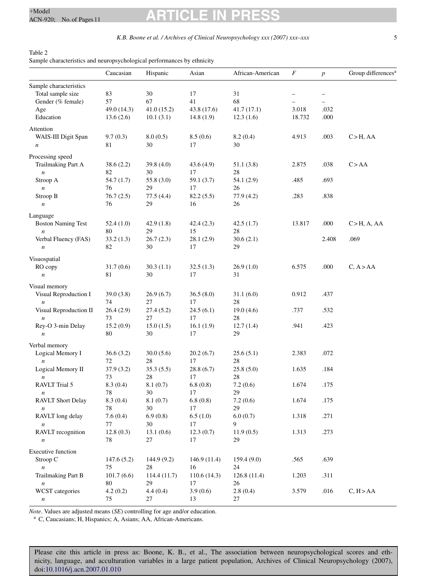#### <span id="page-4-0"></span>Table 2 Sample characteristics and neuropsychological performances by ethnicity

|                           | Caucasian  | Hispanic    | Asian       | African-American | F      | $\boldsymbol{p}$         | Group differences <sup>a</sup> |
|---------------------------|------------|-------------|-------------|------------------|--------|--------------------------|--------------------------------|
| Sample characteristics    |            |             |             |                  |        |                          |                                |
| Total sample size         | 83         | 30          | 17          | 31               |        | $\qquad \qquad -$        |                                |
| Gender (% female)         | 57         | 67          | 41          | 68               |        | $\overline{\phantom{0}}$ |                                |
| Age                       | 49.0(14.3) | 41.0(15.2)  | 43.8 (17.6) | 41.7(17.1)       | 3.018  | .032                     |                                |
| Education                 | 13.6(2.6)  | 10.1(3.1)   | 14.8(1.9)   | 12.3(1.6)        | 18.732 | .000                     |                                |
| Attention                 |            |             |             |                  |        |                          |                                |
| WAIS-III Digit Span       | 9.7(0.3)   | 8.0(0.5)    | 8.5(0.6)    | 8.2(0.4)         | 4.913  | .003                     | $C > H$ , AA                   |
| $\boldsymbol{n}$          | 81         | 30          | 17          | 30               |        |                          |                                |
| Processing speed          |            |             |             |                  |        |                          |                                |
| Trailmaking Part A        | 38.6(2.2)  | 39.8 (4.0)  | 43.6(4.9)   | 51.1(3.8)        | 2.875  | .038                     | C > AA                         |
| $\boldsymbol{n}$          | 82         | 30          | 17          | 28               |        |                          |                                |
| Stroop A                  | 54.7(1.7)  | 55.8(3.0)   | 59.1 (3.7)  | 54.1 (2.9)       | .485   | .693                     |                                |
| $\boldsymbol{n}$          | 76         | 29          | 17          | 26               |        |                          |                                |
| Stroop B                  | 76.7(2.5)  | 77.5 (4.4)  | 82.2(5.5)   | 77.9 (4.2)       | .283   | .838                     |                                |
| $\boldsymbol{n}$          | 76         | 29          | 16          | 26               |        |                          |                                |
| Language                  |            |             |             |                  |        |                          |                                |
| <b>Boston Naming Test</b> | 52.4 (1.0) | 42.9(1.8)   | 42.4(2.3)   | 42.5(1.7)        | 13.817 | .000                     | $C > H$ , A, AA                |
| $\boldsymbol{n}$          | 80         | 29          | 15          | 28               |        |                          |                                |
| Verbal Fluency (FAS)      | 33.2(1.3)  | 26.7(2.3)   | 28.1(2.9)   | 30.6(2.1)        |        | 2.408                    | .069                           |
| $\boldsymbol{n}$          | 82         | 30          | 17          | 29               |        |                          |                                |
| Visuospatial              |            |             |             |                  |        |                          |                                |
| RO copy                   | 31.7(0.6)  | 30.3(1.1)   | 32.5(1.3)   | 26.9(1.0)        | 6.575  | .000                     | C, A > AA                      |
| $\boldsymbol{n}$          | 81         | 30          | 17          | 31               |        |                          |                                |
| Visual memory             |            |             |             |                  |        |                          |                                |
| Visual Reproduction I     | 39.0(3.8)  | 26.9(6.7)   | 36.5(8.0)   | 31.1(6.0)        | 0.912  | .437                     |                                |
| $\boldsymbol{n}$          | 74         | 27          | 17          | 28               |        |                          |                                |
| Visual Reproduction II    | 26.4(2.9)  | 27.4(5.2)   | 24.5(6.1)   | 19.0(4.6)        | .737   | .532                     |                                |
| $\boldsymbol{n}$          | 73         | 27          | 17          | 28               |        |                          |                                |
| Rey-O 3-min Delay         | 15.2(0.9)  | 15.0(1.5)   | 16.1(1.9)   | 12.7(1.4)        | .941   | .423                     |                                |
| $\boldsymbol{n}$          | 80         | 30          | 17          | 29               |        |                          |                                |
| Verbal memory             |            |             |             |                  |        |                          |                                |
| Logical Memory I          | 36.6(3.2)  | 30.0(5.6)   | 20.2(6.7)   | 25.6(5.1)        | 2.383  | .072                     |                                |
| $\boldsymbol{n}$          | 72         | 28          | 17          | 28               |        |                          |                                |
| Logical Memory II         | 37.9 (3.2) | 35.3(5.5)   | 28.8(6.7)   | 25.8(5.0)        | 1.635  | .184                     |                                |
| $\boldsymbol{n}$          | 73         | 28          | 17          | 28               |        |                          |                                |
| RAVLT Trial 5             | 8.3(0.4)   | 8.1(0.7)    | 6.8(0.8)    | 7.2(0.6)         | 1.674  | .175                     |                                |
| $\boldsymbol{n}$          | 78         | 30          | 17          | 29               |        |                          |                                |
| <b>RAVLT Short Delay</b>  | 8.3(0.4)   | 8.1(0.7)    | 6.8(0.8)    | 7.2(0.6)         | 1.674  | .175                     |                                |
| $\boldsymbol{n}$          | 78         | 30          | 17          | 29               |        |                          |                                |
| RAVLT long delay          | 7.6(0.4)   | 6.9(0.8)    | 6.5(1.0)    | 6.0(0.7)         | 1.318  | .271                     |                                |
| $\boldsymbol{n}$          | 77         | 30          | 17          | 9                |        |                          |                                |
| RAVLT recognition         | 12.8(0.3)  | 13.1(0.6)   | 12.3(0.7)   | 11.9(0.5)        | 1.313  | .273                     |                                |
| $\boldsymbol{n}$          | 78         | 27          | 17          | 29               |        |                          |                                |
| <b>Executive function</b> |            |             |             |                  |        |                          |                                |
| Stroop C                  | 147.6(5.2) | 144.9 (9.2) | 146.9(11.4) | 159.4(9.0)       | .565   | .639                     |                                |
| $\boldsymbol{n}$          | 75         | 28          | 16          | 24               |        |                          |                                |
| <b>Trailmaking Part B</b> | 101.7(6.6) | 114.4(11.7) | 110.6(14.3) | 126.8(11.4)      | 1.203  | .311                     |                                |
| $\boldsymbol{n}$          | 80         | 29          | 17          | 26               |        |                          |                                |
| WCST categories           | 4.2(0.2)   | 4.4(0.4)    | 3.9(0.6)    | 2.8(0.4)         | 3.579  | .016                     | C, H > AA                      |
| $\boldsymbol{n}$          | 75         | 27          | 13          | 27               |        |                          |                                |

*Note*. Values are adjusted means (*SE*) controlling for age and/or education.

<sup>a</sup> C, Caucasians; H, Hispanics; A, Asians; AA, African-Americans.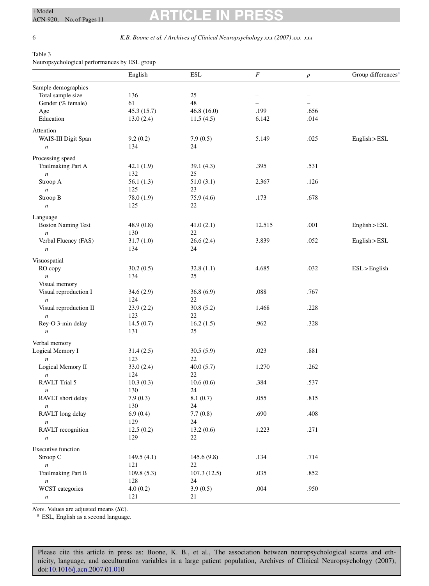### <span id="page-5-0"></span>6 *K.B. Boone et al. / Archives of Clinical Neuropsychology xxx (2007) xxx–xxx*

### Table 3

Neuropsychological performances by ESL group

| Sample demographics<br>Total sample size<br>136<br>25<br>-<br>48<br>Gender (% female)<br>61<br>$\overline{\phantom{0}}$<br>$\overline{\phantom{0}}$<br>46.8(16.0)<br>.199<br>.656<br>45.3(15.7)<br>Age<br>Education<br>.014<br>13.0(2.4)<br>11.5(4.5)<br>6.142<br>Attention<br>WAIS-III Digit Span<br>9.2(0.2)<br>7.9(0.5)<br>5.149<br>.025<br>English > ESL<br>134<br>24<br>$\boldsymbol{n}$<br>Processing speed<br>Trailmaking Part A<br>42.1(1.9)<br>39.1(4.3)<br>.395<br>.531<br>132<br>25<br>$\boldsymbol{n}$<br>.126<br>56.1(1.3)<br>51.0(3.1)<br>2.367<br>Stroop A<br>23<br>125<br>$\boldsymbol{n}$<br>75.9 (4.6)<br>.678<br>78.0(1.9)<br>.173<br>Stroop B<br>22<br>125<br>$\boldsymbol{n}$<br><b>Boston Naming Test</b><br>48.9(0.8)<br>41.0(2.1)<br>12.515<br>.001<br>English > ESL<br>130<br>22<br>$\boldsymbol{n}$<br>Verbal Fluency (FAS)<br>26.6(2.4)<br>3.839<br>.052<br>English > ESL<br>31.7(1.0)<br>134<br>24<br>$\boldsymbol{n}$<br>Visuospatial<br>RO copy<br>30.2(0.5)<br>32.8(1.1)<br>4.685<br>.032<br>ESL > English<br>134<br>25<br>$\boldsymbol{n}$<br>Visual memory<br>.088<br>.767<br>Visual reproduction I<br>34.6(2.9)<br>36.8(6.9)<br>124<br>22<br>$\boldsymbol{n}$<br>.228<br>Visual reproduction II<br>23.9(2.2)<br>30.8(5.2)<br>1.468<br>123<br>22<br>$\boldsymbol{n}$<br>Rey-O 3-min delay<br>14.5(0.7)<br>16.2(1.5)<br>.962<br>.328<br>25<br>131<br>$\boldsymbol{n}$<br>Verbal memory<br>Logical Memory I<br>31.4(2.5)<br>30.5(5.9)<br>.023<br>.881<br>123<br>22<br>1.270<br>.262<br>Logical Memory II<br>33.0(2.4)<br>40.0(5.7)<br>124<br>22<br>$\boldsymbol{n}$<br><b>RAVLT</b> Trial 5<br>10.6(0.6)<br>.384<br>.537<br>10.3(0.3)<br>24<br>130<br>$\boldsymbol{n}$<br>RAVLT short delay<br>7.9(0.3)<br>8.1(0.7)<br>.055<br>.815<br>130<br>24<br>$\boldsymbol{n}$<br>.690<br>.408<br>RAVLT long delay<br>6.9(0.4)<br>7.7(0.8)<br>129<br>24<br>n<br>RAVLT recognition<br>1.223<br>.271<br>12.5(0.2)<br>13.2(0.6)<br>129<br>22<br>$\boldsymbol{n}$<br><b>Executive function</b><br>Stroop C<br>.134<br>.714<br>149.5(4.1)<br>145.6(9.8)<br>22<br>121<br>$\boldsymbol{n}$<br>Trailmaking Part B<br>109.8(5.3)<br>107.3(12.5)<br>.035<br>.852<br>128<br>24<br>n<br>WCST categories<br>.004<br>.950<br>4.0(0.2)<br>3.9(0.5)<br>21<br>121<br>$\boldsymbol{n}$ |          | English | <b>ESL</b> | $\cal F$ | $\boldsymbol{p}$ | Group differences <sup>a</sup> |
|-------------------------------------------------------------------------------------------------------------------------------------------------------------------------------------------------------------------------------------------------------------------------------------------------------------------------------------------------------------------------------------------------------------------------------------------------------------------------------------------------------------------------------------------------------------------------------------------------------------------------------------------------------------------------------------------------------------------------------------------------------------------------------------------------------------------------------------------------------------------------------------------------------------------------------------------------------------------------------------------------------------------------------------------------------------------------------------------------------------------------------------------------------------------------------------------------------------------------------------------------------------------------------------------------------------------------------------------------------------------------------------------------------------------------------------------------------------------------------------------------------------------------------------------------------------------------------------------------------------------------------------------------------------------------------------------------------------------------------------------------------------------------------------------------------------------------------------------------------------------------------------------------------------------------------------------------------------------------------------------------------------------------------------------------------------------------------------------------------------------------------------------------------------------------------------------------------------------------------------------------------------------------------------------|----------|---------|------------|----------|------------------|--------------------------------|
|                                                                                                                                                                                                                                                                                                                                                                                                                                                                                                                                                                                                                                                                                                                                                                                                                                                                                                                                                                                                                                                                                                                                                                                                                                                                                                                                                                                                                                                                                                                                                                                                                                                                                                                                                                                                                                                                                                                                                                                                                                                                                                                                                                                                                                                                                           |          |         |            |          |                  |                                |
|                                                                                                                                                                                                                                                                                                                                                                                                                                                                                                                                                                                                                                                                                                                                                                                                                                                                                                                                                                                                                                                                                                                                                                                                                                                                                                                                                                                                                                                                                                                                                                                                                                                                                                                                                                                                                                                                                                                                                                                                                                                                                                                                                                                                                                                                                           |          |         |            |          |                  |                                |
|                                                                                                                                                                                                                                                                                                                                                                                                                                                                                                                                                                                                                                                                                                                                                                                                                                                                                                                                                                                                                                                                                                                                                                                                                                                                                                                                                                                                                                                                                                                                                                                                                                                                                                                                                                                                                                                                                                                                                                                                                                                                                                                                                                                                                                                                                           |          |         |            |          |                  |                                |
|                                                                                                                                                                                                                                                                                                                                                                                                                                                                                                                                                                                                                                                                                                                                                                                                                                                                                                                                                                                                                                                                                                                                                                                                                                                                                                                                                                                                                                                                                                                                                                                                                                                                                                                                                                                                                                                                                                                                                                                                                                                                                                                                                                                                                                                                                           |          |         |            |          |                  |                                |
|                                                                                                                                                                                                                                                                                                                                                                                                                                                                                                                                                                                                                                                                                                                                                                                                                                                                                                                                                                                                                                                                                                                                                                                                                                                                                                                                                                                                                                                                                                                                                                                                                                                                                                                                                                                                                                                                                                                                                                                                                                                                                                                                                                                                                                                                                           |          |         |            |          |                  |                                |
|                                                                                                                                                                                                                                                                                                                                                                                                                                                                                                                                                                                                                                                                                                                                                                                                                                                                                                                                                                                                                                                                                                                                                                                                                                                                                                                                                                                                                                                                                                                                                                                                                                                                                                                                                                                                                                                                                                                                                                                                                                                                                                                                                                                                                                                                                           |          |         |            |          |                  |                                |
|                                                                                                                                                                                                                                                                                                                                                                                                                                                                                                                                                                                                                                                                                                                                                                                                                                                                                                                                                                                                                                                                                                                                                                                                                                                                                                                                                                                                                                                                                                                                                                                                                                                                                                                                                                                                                                                                                                                                                                                                                                                                                                                                                                                                                                                                                           |          |         |            |          |                  |                                |
|                                                                                                                                                                                                                                                                                                                                                                                                                                                                                                                                                                                                                                                                                                                                                                                                                                                                                                                                                                                                                                                                                                                                                                                                                                                                                                                                                                                                                                                                                                                                                                                                                                                                                                                                                                                                                                                                                                                                                                                                                                                                                                                                                                                                                                                                                           |          |         |            |          |                  |                                |
|                                                                                                                                                                                                                                                                                                                                                                                                                                                                                                                                                                                                                                                                                                                                                                                                                                                                                                                                                                                                                                                                                                                                                                                                                                                                                                                                                                                                                                                                                                                                                                                                                                                                                                                                                                                                                                                                                                                                                                                                                                                                                                                                                                                                                                                                                           |          |         |            |          |                  |                                |
|                                                                                                                                                                                                                                                                                                                                                                                                                                                                                                                                                                                                                                                                                                                                                                                                                                                                                                                                                                                                                                                                                                                                                                                                                                                                                                                                                                                                                                                                                                                                                                                                                                                                                                                                                                                                                                                                                                                                                                                                                                                                                                                                                                                                                                                                                           |          |         |            |          |                  |                                |
|                                                                                                                                                                                                                                                                                                                                                                                                                                                                                                                                                                                                                                                                                                                                                                                                                                                                                                                                                                                                                                                                                                                                                                                                                                                                                                                                                                                                                                                                                                                                                                                                                                                                                                                                                                                                                                                                                                                                                                                                                                                                                                                                                                                                                                                                                           |          |         |            |          |                  |                                |
|                                                                                                                                                                                                                                                                                                                                                                                                                                                                                                                                                                                                                                                                                                                                                                                                                                                                                                                                                                                                                                                                                                                                                                                                                                                                                                                                                                                                                                                                                                                                                                                                                                                                                                                                                                                                                                                                                                                                                                                                                                                                                                                                                                                                                                                                                           |          |         |            |          |                  |                                |
|                                                                                                                                                                                                                                                                                                                                                                                                                                                                                                                                                                                                                                                                                                                                                                                                                                                                                                                                                                                                                                                                                                                                                                                                                                                                                                                                                                                                                                                                                                                                                                                                                                                                                                                                                                                                                                                                                                                                                                                                                                                                                                                                                                                                                                                                                           |          |         |            |          |                  |                                |
|                                                                                                                                                                                                                                                                                                                                                                                                                                                                                                                                                                                                                                                                                                                                                                                                                                                                                                                                                                                                                                                                                                                                                                                                                                                                                                                                                                                                                                                                                                                                                                                                                                                                                                                                                                                                                                                                                                                                                                                                                                                                                                                                                                                                                                                                                           |          |         |            |          |                  |                                |
|                                                                                                                                                                                                                                                                                                                                                                                                                                                                                                                                                                                                                                                                                                                                                                                                                                                                                                                                                                                                                                                                                                                                                                                                                                                                                                                                                                                                                                                                                                                                                                                                                                                                                                                                                                                                                                                                                                                                                                                                                                                                                                                                                                                                                                                                                           |          |         |            |          |                  |                                |
|                                                                                                                                                                                                                                                                                                                                                                                                                                                                                                                                                                                                                                                                                                                                                                                                                                                                                                                                                                                                                                                                                                                                                                                                                                                                                                                                                                                                                                                                                                                                                                                                                                                                                                                                                                                                                                                                                                                                                                                                                                                                                                                                                                                                                                                                                           |          |         |            |          |                  |                                |
|                                                                                                                                                                                                                                                                                                                                                                                                                                                                                                                                                                                                                                                                                                                                                                                                                                                                                                                                                                                                                                                                                                                                                                                                                                                                                                                                                                                                                                                                                                                                                                                                                                                                                                                                                                                                                                                                                                                                                                                                                                                                                                                                                                                                                                                                                           | Language |         |            |          |                  |                                |
|                                                                                                                                                                                                                                                                                                                                                                                                                                                                                                                                                                                                                                                                                                                                                                                                                                                                                                                                                                                                                                                                                                                                                                                                                                                                                                                                                                                                                                                                                                                                                                                                                                                                                                                                                                                                                                                                                                                                                                                                                                                                                                                                                                                                                                                                                           |          |         |            |          |                  |                                |
|                                                                                                                                                                                                                                                                                                                                                                                                                                                                                                                                                                                                                                                                                                                                                                                                                                                                                                                                                                                                                                                                                                                                                                                                                                                                                                                                                                                                                                                                                                                                                                                                                                                                                                                                                                                                                                                                                                                                                                                                                                                                                                                                                                                                                                                                                           |          |         |            |          |                  |                                |
|                                                                                                                                                                                                                                                                                                                                                                                                                                                                                                                                                                                                                                                                                                                                                                                                                                                                                                                                                                                                                                                                                                                                                                                                                                                                                                                                                                                                                                                                                                                                                                                                                                                                                                                                                                                                                                                                                                                                                                                                                                                                                                                                                                                                                                                                                           |          |         |            |          |                  |                                |
|                                                                                                                                                                                                                                                                                                                                                                                                                                                                                                                                                                                                                                                                                                                                                                                                                                                                                                                                                                                                                                                                                                                                                                                                                                                                                                                                                                                                                                                                                                                                                                                                                                                                                                                                                                                                                                                                                                                                                                                                                                                                                                                                                                                                                                                                                           |          |         |            |          |                  |                                |
|                                                                                                                                                                                                                                                                                                                                                                                                                                                                                                                                                                                                                                                                                                                                                                                                                                                                                                                                                                                                                                                                                                                                                                                                                                                                                                                                                                                                                                                                                                                                                                                                                                                                                                                                                                                                                                                                                                                                                                                                                                                                                                                                                                                                                                                                                           |          |         |            |          |                  |                                |
|                                                                                                                                                                                                                                                                                                                                                                                                                                                                                                                                                                                                                                                                                                                                                                                                                                                                                                                                                                                                                                                                                                                                                                                                                                                                                                                                                                                                                                                                                                                                                                                                                                                                                                                                                                                                                                                                                                                                                                                                                                                                                                                                                                                                                                                                                           |          |         |            |          |                  |                                |
|                                                                                                                                                                                                                                                                                                                                                                                                                                                                                                                                                                                                                                                                                                                                                                                                                                                                                                                                                                                                                                                                                                                                                                                                                                                                                                                                                                                                                                                                                                                                                                                                                                                                                                                                                                                                                                                                                                                                                                                                                                                                                                                                                                                                                                                                                           |          |         |            |          |                  |                                |
|                                                                                                                                                                                                                                                                                                                                                                                                                                                                                                                                                                                                                                                                                                                                                                                                                                                                                                                                                                                                                                                                                                                                                                                                                                                                                                                                                                                                                                                                                                                                                                                                                                                                                                                                                                                                                                                                                                                                                                                                                                                                                                                                                                                                                                                                                           |          |         |            |          |                  |                                |
|                                                                                                                                                                                                                                                                                                                                                                                                                                                                                                                                                                                                                                                                                                                                                                                                                                                                                                                                                                                                                                                                                                                                                                                                                                                                                                                                                                                                                                                                                                                                                                                                                                                                                                                                                                                                                                                                                                                                                                                                                                                                                                                                                                                                                                                                                           |          |         |            |          |                  |                                |
|                                                                                                                                                                                                                                                                                                                                                                                                                                                                                                                                                                                                                                                                                                                                                                                                                                                                                                                                                                                                                                                                                                                                                                                                                                                                                                                                                                                                                                                                                                                                                                                                                                                                                                                                                                                                                                                                                                                                                                                                                                                                                                                                                                                                                                                                                           |          |         |            |          |                  |                                |
|                                                                                                                                                                                                                                                                                                                                                                                                                                                                                                                                                                                                                                                                                                                                                                                                                                                                                                                                                                                                                                                                                                                                                                                                                                                                                                                                                                                                                                                                                                                                                                                                                                                                                                                                                                                                                                                                                                                                                                                                                                                                                                                                                                                                                                                                                           |          |         |            |          |                  |                                |
|                                                                                                                                                                                                                                                                                                                                                                                                                                                                                                                                                                                                                                                                                                                                                                                                                                                                                                                                                                                                                                                                                                                                                                                                                                                                                                                                                                                                                                                                                                                                                                                                                                                                                                                                                                                                                                                                                                                                                                                                                                                                                                                                                                                                                                                                                           |          |         |            |          |                  |                                |
|                                                                                                                                                                                                                                                                                                                                                                                                                                                                                                                                                                                                                                                                                                                                                                                                                                                                                                                                                                                                                                                                                                                                                                                                                                                                                                                                                                                                                                                                                                                                                                                                                                                                                                                                                                                                                                                                                                                                                                                                                                                                                                                                                                                                                                                                                           |          |         |            |          |                  |                                |
|                                                                                                                                                                                                                                                                                                                                                                                                                                                                                                                                                                                                                                                                                                                                                                                                                                                                                                                                                                                                                                                                                                                                                                                                                                                                                                                                                                                                                                                                                                                                                                                                                                                                                                                                                                                                                                                                                                                                                                                                                                                                                                                                                                                                                                                                                           |          |         |            |          |                  |                                |
|                                                                                                                                                                                                                                                                                                                                                                                                                                                                                                                                                                                                                                                                                                                                                                                                                                                                                                                                                                                                                                                                                                                                                                                                                                                                                                                                                                                                                                                                                                                                                                                                                                                                                                                                                                                                                                                                                                                                                                                                                                                                                                                                                                                                                                                                                           |          |         |            |          |                  |                                |
|                                                                                                                                                                                                                                                                                                                                                                                                                                                                                                                                                                                                                                                                                                                                                                                                                                                                                                                                                                                                                                                                                                                                                                                                                                                                                                                                                                                                                                                                                                                                                                                                                                                                                                                                                                                                                                                                                                                                                                                                                                                                                                                                                                                                                                                                                           |          |         |            |          |                  |                                |
|                                                                                                                                                                                                                                                                                                                                                                                                                                                                                                                                                                                                                                                                                                                                                                                                                                                                                                                                                                                                                                                                                                                                                                                                                                                                                                                                                                                                                                                                                                                                                                                                                                                                                                                                                                                                                                                                                                                                                                                                                                                                                                                                                                                                                                                                                           |          |         |            |          |                  |                                |
|                                                                                                                                                                                                                                                                                                                                                                                                                                                                                                                                                                                                                                                                                                                                                                                                                                                                                                                                                                                                                                                                                                                                                                                                                                                                                                                                                                                                                                                                                                                                                                                                                                                                                                                                                                                                                                                                                                                                                                                                                                                                                                                                                                                                                                                                                           |          |         |            |          |                  |                                |
|                                                                                                                                                                                                                                                                                                                                                                                                                                                                                                                                                                                                                                                                                                                                                                                                                                                                                                                                                                                                                                                                                                                                                                                                                                                                                                                                                                                                                                                                                                                                                                                                                                                                                                                                                                                                                                                                                                                                                                                                                                                                                                                                                                                                                                                                                           |          |         |            |          |                  |                                |
|                                                                                                                                                                                                                                                                                                                                                                                                                                                                                                                                                                                                                                                                                                                                                                                                                                                                                                                                                                                                                                                                                                                                                                                                                                                                                                                                                                                                                                                                                                                                                                                                                                                                                                                                                                                                                                                                                                                                                                                                                                                                                                                                                                                                                                                                                           |          |         |            |          |                  |                                |
|                                                                                                                                                                                                                                                                                                                                                                                                                                                                                                                                                                                                                                                                                                                                                                                                                                                                                                                                                                                                                                                                                                                                                                                                                                                                                                                                                                                                                                                                                                                                                                                                                                                                                                                                                                                                                                                                                                                                                                                                                                                                                                                                                                                                                                                                                           |          |         |            |          |                  |                                |
|                                                                                                                                                                                                                                                                                                                                                                                                                                                                                                                                                                                                                                                                                                                                                                                                                                                                                                                                                                                                                                                                                                                                                                                                                                                                                                                                                                                                                                                                                                                                                                                                                                                                                                                                                                                                                                                                                                                                                                                                                                                                                                                                                                                                                                                                                           |          |         |            |          |                  |                                |
|                                                                                                                                                                                                                                                                                                                                                                                                                                                                                                                                                                                                                                                                                                                                                                                                                                                                                                                                                                                                                                                                                                                                                                                                                                                                                                                                                                                                                                                                                                                                                                                                                                                                                                                                                                                                                                                                                                                                                                                                                                                                                                                                                                                                                                                                                           |          |         |            |          |                  |                                |
|                                                                                                                                                                                                                                                                                                                                                                                                                                                                                                                                                                                                                                                                                                                                                                                                                                                                                                                                                                                                                                                                                                                                                                                                                                                                                                                                                                                                                                                                                                                                                                                                                                                                                                                                                                                                                                                                                                                                                                                                                                                                                                                                                                                                                                                                                           |          |         |            |          |                  |                                |
|                                                                                                                                                                                                                                                                                                                                                                                                                                                                                                                                                                                                                                                                                                                                                                                                                                                                                                                                                                                                                                                                                                                                                                                                                                                                                                                                                                                                                                                                                                                                                                                                                                                                                                                                                                                                                                                                                                                                                                                                                                                                                                                                                                                                                                                                                           |          |         |            |          |                  |                                |
|                                                                                                                                                                                                                                                                                                                                                                                                                                                                                                                                                                                                                                                                                                                                                                                                                                                                                                                                                                                                                                                                                                                                                                                                                                                                                                                                                                                                                                                                                                                                                                                                                                                                                                                                                                                                                                                                                                                                                                                                                                                                                                                                                                                                                                                                                           |          |         |            |          |                  |                                |
|                                                                                                                                                                                                                                                                                                                                                                                                                                                                                                                                                                                                                                                                                                                                                                                                                                                                                                                                                                                                                                                                                                                                                                                                                                                                                                                                                                                                                                                                                                                                                                                                                                                                                                                                                                                                                                                                                                                                                                                                                                                                                                                                                                                                                                                                                           |          |         |            |          |                  |                                |
|                                                                                                                                                                                                                                                                                                                                                                                                                                                                                                                                                                                                                                                                                                                                                                                                                                                                                                                                                                                                                                                                                                                                                                                                                                                                                                                                                                                                                                                                                                                                                                                                                                                                                                                                                                                                                                                                                                                                                                                                                                                                                                                                                                                                                                                                                           |          |         |            |          |                  |                                |
|                                                                                                                                                                                                                                                                                                                                                                                                                                                                                                                                                                                                                                                                                                                                                                                                                                                                                                                                                                                                                                                                                                                                                                                                                                                                                                                                                                                                                                                                                                                                                                                                                                                                                                                                                                                                                                                                                                                                                                                                                                                                                                                                                                                                                                                                                           |          |         |            |          |                  |                                |
|                                                                                                                                                                                                                                                                                                                                                                                                                                                                                                                                                                                                                                                                                                                                                                                                                                                                                                                                                                                                                                                                                                                                                                                                                                                                                                                                                                                                                                                                                                                                                                                                                                                                                                                                                                                                                                                                                                                                                                                                                                                                                                                                                                                                                                                                                           |          |         |            |          |                  |                                |
|                                                                                                                                                                                                                                                                                                                                                                                                                                                                                                                                                                                                                                                                                                                                                                                                                                                                                                                                                                                                                                                                                                                                                                                                                                                                                                                                                                                                                                                                                                                                                                                                                                                                                                                                                                                                                                                                                                                                                                                                                                                                                                                                                                                                                                                                                           |          |         |            |          |                  |                                |
|                                                                                                                                                                                                                                                                                                                                                                                                                                                                                                                                                                                                                                                                                                                                                                                                                                                                                                                                                                                                                                                                                                                                                                                                                                                                                                                                                                                                                                                                                                                                                                                                                                                                                                                                                                                                                                                                                                                                                                                                                                                                                                                                                                                                                                                                                           |          |         |            |          |                  |                                |
|                                                                                                                                                                                                                                                                                                                                                                                                                                                                                                                                                                                                                                                                                                                                                                                                                                                                                                                                                                                                                                                                                                                                                                                                                                                                                                                                                                                                                                                                                                                                                                                                                                                                                                                                                                                                                                                                                                                                                                                                                                                                                                                                                                                                                                                                                           |          |         |            |          |                  |                                |
|                                                                                                                                                                                                                                                                                                                                                                                                                                                                                                                                                                                                                                                                                                                                                                                                                                                                                                                                                                                                                                                                                                                                                                                                                                                                                                                                                                                                                                                                                                                                                                                                                                                                                                                                                                                                                                                                                                                                                                                                                                                                                                                                                                                                                                                                                           |          |         |            |          |                  |                                |
|                                                                                                                                                                                                                                                                                                                                                                                                                                                                                                                                                                                                                                                                                                                                                                                                                                                                                                                                                                                                                                                                                                                                                                                                                                                                                                                                                                                                                                                                                                                                                                                                                                                                                                                                                                                                                                                                                                                                                                                                                                                                                                                                                                                                                                                                                           |          |         |            |          |                  |                                |

*Note*. Values are adjusted means (*SE*).

<sup>a</sup> ESL, English as a second language.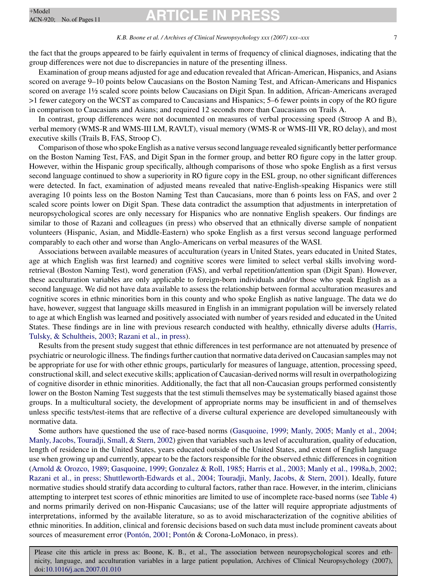#### *K.B. Boone et al. / Archives of Clinical Neuropsychology xxx (2007) xxx–xxx* 7

the fact that the groups appeared to be fairly equivalent in terms of frequency of clinical diagnoses, indicating that the group differences were not due to discrepancies in nature of the presenting illness.

Examination of group means adjusted for age and education revealed that African-American, Hispanics, and Asians scored on average 9–10 points below Caucasians on the Boston Naming Test, and African-Americans and Hispanics scored on average 1½ scaled score points below Caucasians on Digit Span. In addition, African-Americans averaged >1 fewer category on the WCST as compared to Caucasians and Hispanics; 5–6 fewer points in copy of the RO figure in comparison to Caucasians and Asians; and required 12 seconds more than Caucasians on Trails A.

In contrast, group differences were not documented on measures of verbal processing speed (Stroop A and B), verbal memory (WMS-R and WMS-III LM, RAVLT), visual memory (WMS-R or WMS-III VR, RO delay), and most executive skills (Trails B, FAS, Stroop C).

Comparison of those who spoke English as a native versus second language revealed significantly better performance on the Boston Naming Test, FAS, and Digit Span in the former group, and better RO figure copy in the latter group. However, within the Hispanic group specifically, although comparisons of those who spoke English as a first versus second language continued to show a superiority in RO figure copy in the ESL group, no other significant differences were detected. In fact, examination of adjusted means revealed that native-English-speaking Hispanics were still averaging 10 points less on the Boston Naming Test than Caucasians, more than 6 points less on FAS, and over 2 scaled score points lower on Digit Span. These data contradict the assumption that adjustments in interpretation of neuropsychological scores are only necessary for Hispanics who are nonnative English speakers. Our findings are similar to those of Razani and colleagues (in press) who observed that an ethnically diverse sample of nonpatient volunteers (Hispanic, Asian, and Middle-Eastern) who spoke English as a first versus second language performed comparably to each other and worse than Anglo-Americans on verbal measures of the WASI.

Associations between available measures of acculturation (years in United States, years educated in United States, age at which English was first learned) and cognitive scores were limited to select verbal skills involving wordretrieval (Boston Naming Test), word generation (FAS), and verbal repetition/attention span (Digit Span). However, these acculturation variables are only applicable to foreign-born individuals and/or those who speak English as a second language. We did not have data available to assess the relationship between formal acculturation measures and cognitive scores in ethnic minorities born in this county and who spoke English as native language. The data we do have, however, suggest that language skills measured in English in an immigrant population will be inversely related to age at which English was learned and positively associated with number of years resided and educated in the United States. These findings are in line with previous research conducted with healthy, ethnically diverse adults ([Harris,](#page-8-0) [Tulsky, & Schultheis, 2003;](#page-8-0) [Razani et al., in press\).](#page-9-0)

Results from the present study suggest that ethnic differences in test performance are not attenuated by presence of psychiatric or neurologic illness. The findings further caution that normative data derived on Caucasian samples may not be appropriate for use for with other ethnic groups, particularly for measures of language, attention, processing speed, constructional skill, and select executive skills; application of Caucasian-derived norms will result in overpathologizing of cognitive disorder in ethnic minorities. Additionally, the fact that all non-Caucasian groups performed consistently lower on the Boston Naming Test suggests that the test stimuli themselves may be systematically biased against those groups. In a multicultural society, the development of appropriate norms may be insufficient in and of themselves unless specific tests/test-items that are reflective of a diverse cultural experience are developed simultaneously with normative data.

Some authors have questioned the use of race-based norms [\(Gasquoine, 1999;](#page-8-0) [Manly, 2005;](#page-9-0) [Manly et al., 2004;](#page-9-0) [Manly, Jacobs, Touradji, Small, & Stern, 2002\)](#page-9-0) given that variables such as level of acculturation, quality of education, length of residence in the United States, years educated outside of the United States, and extent of English language use when growing up and currently, appear to be the factors responsible for the observed ethnic differences in cognition [\(Arnold & Orozco, 1989;](#page-8-0) [Gasquoine, 1999;](#page-8-0) [Gonzalez & Roll, 1985;](#page-8-0) [Harris et al., 2003; Manly et al., 1998a,b, 2002;](#page-8-0) [Razani et al., in press; Shuttleworth-Edwards et al., 2004;](#page-8-0) [Touradji, Manly, Jacobs, & Stern, 2001\).](#page-10-0) Ideally, future normative studies should stratify data according to cultural factors, rather than race. However, in the interim, clinicians attempting to interpret test scores of ethnic minorities are limited to use of incomplete race-based norms (see [Table 4\)](#page-7-0) and norms primarily derived on non-Hispanic Caucasians; use of the latter will require appropriate adjustments of interpretations, informed by the available literature, so as to avoid mischaracterization of the cognitive abilities of ethnic minorities. In addition, clinical and forensic decisions based on such data must include prominent caveats about sources of measurement error (Pontón, 2001; Pontón & Corona-LoMonaco, in press).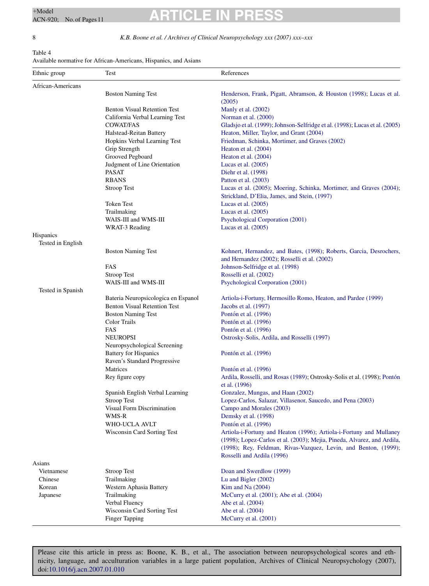### <span id="page-7-0"></span>8 *K.B. Boone et al. / Archives of Clinical Neuropsychology xxx (2007) xxx–xxx*

#### Table 4

Available normative for African-Americans, Hispanics, and Asians

| Ethnic group      | Test                                | References                                                                                |
|-------------------|-------------------------------------|-------------------------------------------------------------------------------------------|
| African-Americans |                                     |                                                                                           |
|                   | <b>Boston Naming Test</b>           | Henderson, Frank, Pigatt, Abramson, & Houston (1998); Lucas et al.<br>(2005)              |
|                   | <b>Benton Visual Retention Test</b> | Manly et al. (2002)                                                                       |
|                   | California Verbal Learning Test     | Norman et al. (2000)                                                                      |
|                   | <b>COWAT/FAS</b>                    | Gladsjo et al. (1999); Johnson-Selfridge et al. (1998); Lucas et al. (2005)               |
|                   | Halstead-Reitan Battery             | Heaton, Miller, Taylor, and Grant (2004)                                                  |
|                   | Hopkins Verbal Learning Test        | Friedman, Schinka, Mortimer, and Graves (2002)                                            |
|                   | Grip Strength                       | Heaton et al. $(2004)$                                                                    |
|                   | Grooved Pegboard                    | Heaton et al. $(2004)$                                                                    |
|                   | Judgment of Line Orientation        | Lucas et al. $(2005)$                                                                     |
|                   | <b>PASAT</b>                        | Diehr et al. (1998)                                                                       |
|                   | <b>RBANS</b>                        | Patton et al. (2003)                                                                      |
|                   | Stroop Test                         | Lucas et al. (2005); Moering, Schinka, Mortimer, and Graves (2004);                       |
|                   |                                     | Strickland, D'Elia, James, and Stein, (1997)                                              |
|                   | Token Test                          | Lucas et al. $(2005)$                                                                     |
|                   | Trailmaking                         | Lucas et al. $(2005)$                                                                     |
|                   | WAIS-III and WMS-III                | Psychological Corporation (2001)                                                          |
|                   | WRAT-3 Reading                      | Lucas et al. $(2005)$                                                                     |
| Hispanics         |                                     |                                                                                           |
| Tested in English |                                     |                                                                                           |
|                   | <b>Boston Naming Test</b>           | Kohnert, Hernandez, and Bates, (1998); Roberts, Garcia, Desrochers,                       |
|                   |                                     | and Hernandez (2002); Rosselli et al. (2002)                                              |
|                   | FAS                                 | Johnson-Selfridge et al. (1998)                                                           |
|                   | Stroop Test                         | Rosselli et al. (2002)                                                                    |
|                   | WAIS-III and WMS-III                | Psychological Corporation (2001)                                                          |
| Tested in Spanish |                                     |                                                                                           |
|                   | Bateria Neuropsicologica en Espanol | Artiola-i-Fortuny, Hermosillo Romo, Heaton, and Pardee (1999)                             |
|                   | <b>Benton Visual Retention Test</b> | Jacobs et al. (1997)                                                                      |
|                   | <b>Boston Naming Test</b>           | Pontón et al. (1996)                                                                      |
|                   | Color Trails                        | Pontón et al. (1996)                                                                      |
|                   | FAS                                 | Pontón et al. (1996)                                                                      |
|                   | <b>NEUROPSI</b>                     | Ostrosky-Solis, Ardila, and Rosselli (1997)                                               |
|                   | Neuropsychological Screening        |                                                                                           |
|                   | Battery for Hispanics               | Pontón et al. (1996)                                                                      |
|                   | Raven's Standard Progressive        |                                                                                           |
|                   | Matrices                            | Pontón et al. (1996)                                                                      |
|                   | Rey figure copy                     | Ardila, Rosselli, and Rosas (1989); Ostrosky-Solis et al. (1998); Pontón<br>et al. (1996) |
|                   | Spanish English Verbal Learning     | Gonzalez, Mungas, and Haan (2002)                                                         |
|                   | <b>Stroop Test</b>                  | Lopez-Carlos, Salazar, Villasenor, Saucedo, and Pena (2003)                               |
|                   | Visual Form Discrimination          | Campo and Morales (2003)                                                                  |
|                   | WMS-R                               | Demsky et al. (1998)                                                                      |
|                   | WHO-UCLA AVLT                       | Pontón et al. (1996)                                                                      |
|                   | Wisconsin Card Sorting Test         | Artiola-i-Fortuny and Heaton (1996); Artiola-i-Fortuny and Mullaney                       |
|                   |                                     | (1998); Lopez-Carlos et al. (2003); Mejia, Pineda, Alvarez, and Ardila,                   |
|                   |                                     | (1998); Rey, Feldman, Rivas-Vazquez, Levin, and Benton, (1999);                           |
|                   |                                     | Rosselli and Ardila (1996)                                                                |
| Asians            |                                     |                                                                                           |
| Vietnamese        | <b>Stroop Test</b>                  | Doan and Swerdlow (1999)                                                                  |
| Chinese           | Trailmaking                         | Lu and Bigler (2002)                                                                      |
| Korean            | Western Aphasia Battery             | Kim and Na $(2004)$                                                                       |
| Japanese          | Trailmaking                         | McCurry et al. (2001); Abe et al. (2004)                                                  |
|                   | Verbal Fluency                      | Abe et al. (2004)                                                                         |
|                   | Wisconsin Card Sorting Test         | Abe et al. (2004)                                                                         |
|                   | Finger Tapping                      | McCurry et al. (2001)                                                                     |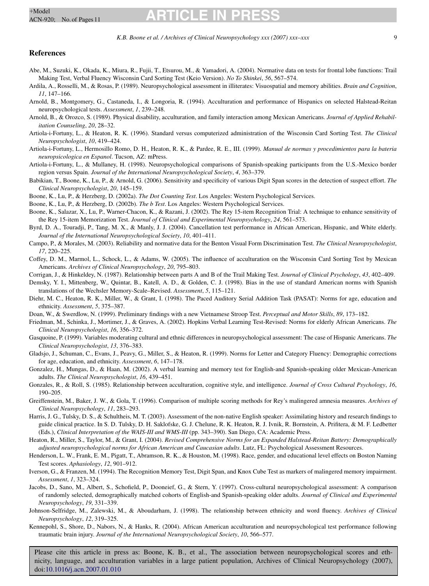### <span id="page-8-0"></span>**References**

- Abe, M., Suzuki, K., Okada, K., Miura, R., Fujii, T., Etsurou, M., & Yamadori, A. (2004). Normative data on tests for frontal lobe functions: Trail Making Test, Verbal Fluency Wisconsin Card Sorting Test (Keio Version). *No To Shinkei*, *56*, 567–574.
- Ardila, A., Rosselli, M., & Rosas, P. (1989). Neuropsychological assessment in illiterates: Visuospatial and memory abilities. *Brain and Cognition*, *11*, 147–166.
- Arnold, B., Montgomery, G., Castaneda, I., & Longoria, R. (1994). Acculturation and performance of Hispanics on selected Halstead-Reitan neuropsychological tests. *Assessment*, *1*, 239–248.
- Arnold, B., & Orozco, S. (1989). Physical disability, acculturation, and family interaction among Mexican Americans. *Journal of Applied Rehabilitation Counseling*, *20*, 28–32.
- Artiola-i-Fortuny, L., & Heaton, R. K. (1996). Standard versus computerized administration of the Wisconsin Card Sorting Test. *The Clinical Neuropsychologist*, *10*, 419–424.
- Artiola-i-Fortuny, L., Hermosillo Romo, D. H., Heaton, R. K., & Pardee, R. E., III. (1999). *Manual de normas y procedimientos para la bateria neuropsicologica en Espanol*. Tucson, AZ: mPress.
- Artiola-i-Fortuny, L., & Mullaney, H. (1998). Neuropsychological comparisons of Spanish-speaking participants from the U.S.-Mexico border region versus Spain. *Journal of the International Neuropsychological Society*, *4*, 363–379.
- Babikian, T., Boone, K., Lu, P., & Arnold, G. (2006). Sensitivity and specificity of various Digit Span scores in the detection of suspect effort. *The Clinical Neuropsychologist*, *20*, 145–159.
- Boone, K., Lu, P., & Herzberg, D. (2002a). *The Dot Counting Test*. Los Angeles: Western Psychological Services.
- Boone, K., Lu, P., & Herzberg, D. (2002b). *The b Test*. Los Angeles: Western Psychological Services.
- Boone, K., Salazar, X., Lu, P., Warner-Chacon, K., & Razani, J. (2002). The Rey 15-item Recognition Trial: A technique to enhance sensitivity of the Rey 15-item Memorization Test. *Journal of Clinical and Experimental Neuropsychology*, *24*, 561–573.
- Byrd, D. A., Touradji, P., Tang, M. X., & Manly, J. J. (2004). Cancellation test performance in African American, Hispanic, and White elderly. *Journal of the International Neuropsychological Society*, *10*, 401–411.
- Campo, P., & Morales, M. (2003). Reliability and normative data for the Benton Visual Form Discrimination Test. *The Clinical Neuropsychologist*, *17*, 220–225.
- Coffey, D. M., Marmol, L., Schock, L., & Adams, W. (2005). The influence of acculturation on the Wisconsin Card Sorting Test by Mexican Americans. *Archives of Clinical Neuropsychology*, *20*, 795–803.
- Corrigan, J., & Hinkeldey, N. (1987). Relationship between parts A and B of the Trail Making Test. *Journal of Clinical Psychology*, *43*, 402–409.
- Demsky, Y. I., Mittenberg, W., Quintar, B., Katell, A. D., & Golden, C. J. (1998). Bias in the use of standard American norms with Spanish translations of the Wechsler Memory-Scale–Revised. *Assessment*, *5*, 115–121.
- Diehr, M. C., Heaton, R. K., Miller, W., & Grant, I. (1998). The Paced Auditory Serial Addition Task (PASAT): Norms for age, education and ethnicity. *Assessment*, *5*, 375–387.
- Doan, W., & Swerdlow, N. (1999). Preliminary findings with a new Vietnamese Stroop Test. *Perceptual and Motor Skills*, *89*, 173–182.
- Friedman, M., Schinka, J., Mortimer, J., & Graves, A. (2002). Hopkins Verbal Learning Test-Revised: Norms for elderly African Americans. *The Clinical Neuropsychologist*, *16*, 356–372.
- Gasquoine, P. (1999). Variables moderating cultural and ethnic differences in neuropsychological assessment: The case of Hispanic Americans. *The Clinical Neuropsychologist*, *13*, 376–383.
- Gladsjo, J., Schuman, C., Evans, J., Peavy, G., Miller, S., & Heaton, R. (1999). Norms for Letter and Category Fluency: Demographic corrections for age, education, and ethnicity. *Assessment*, *6*, 147–178.
- Gonzalez, H., Mungas, D., & Haan, M. (2002). A verbal learning and memory test for English-and Spanish-speaking older Mexican-American adults. *The Clinical Neuropsychologist*, *16*, 439–451.
- Gonzales, R., & Roll, S. (1985). Relationship between acculturation, cognitive style, and intelligence. *Journal of Cross Cultural Psychology*, *16*, 190–205.
- Greiffenstein, M., Baker, J. W., & Gola, T. (1996). Comparison of multiple scoring methods for Rey's malingered amnesia measures. *Archives of Clinical Neuropsychology*, *11*, 283–293.
- Harris, J. G., Tulsky, D. S., & Schultheis, M. T. (2003). Assessment of the non-native English speaker: Assimilating history and research findings to guide clinical practice. In S. D. Tulsky, D. H. Saklofske, G. J. Chelune, R. K. Heaton, R. J. Ivnik, R. Bornstein, A. Prifitera, & M. F. Ledbetter (Eds.), *Clinical Interpretation of the WAIS-III and WMS-III* (pp. 343–390). San Diego, CA: Academic Press.
- Heaton, R., Miller, S., Taylor, M., & Grant, I. (2004). *Revised Comprehensive Norms for an Expanded Halstead-Reitan Battery: Demographically adjusted neuropsychological norms for African American and Caucasian adults*. Lutz, FL: Psychological Assessment Resources.
- Henderson, L. W., Frank, E. M., Pigatt, T., Abramson, R. K., & Houston, M. (1998). Race, gender, and educational level effects on Boston Naming Test scores. *Aphasiology*, *12*, 901–912.
- Iverson, G., & Franzen, M. (1994). The Recognition Memory Test, Digit Span, and Knox Cube Test as markers of malingered memory impairment. *Assessment*, *1*, 323–324.
- Jacobs, D., Sano, M., Albert, S., Schofield, P., Dooneief, G., & Stern, Y. (1997). Cross-cultural neuropsychological assessment: A comparison of randomly selected, demographically matched cohorts of English-and Spanish-speaking older adults. *Journal of Clinical and Experimental Neuropsychology*, *19*, 331–339.
- Johnson-Selfridge, M., Zalewski, M., & Aboudarham, J. (1998). The relationship between ethnicity and word fluency. *Archives of Clinical Neuropsychology*, *12*, 319–325.
- Kennepohl, S., Shore, D., Nabors, N., & Hanks, R. (2004). African American acculturation and neuropsychological test performance following traumatic brain injury. *Journal of the International Neuropsychological Society*, *10*, 566–577.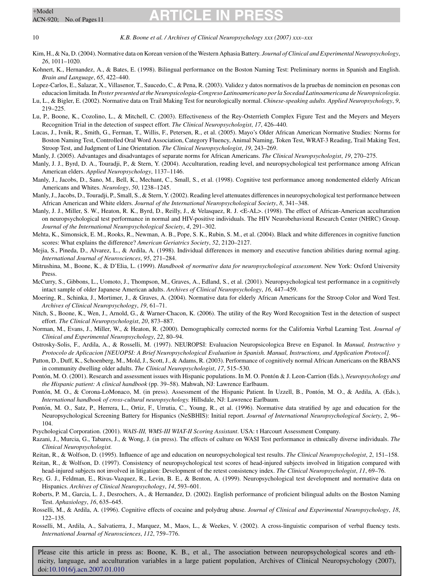### <span id="page-9-0"></span>10 *K.B. Boone et al. / Archives of Clinical Neuropsychology xxx (2007) xxx–xxx*

- Kim, H., & Na, D. (2004). Normative data on Korean version of the Western Aphasia Battery. *Journal of Clinical and Experimental Neuropsychology*, *26*, 1011–1020.
- Kohnert, K., Hernandez, A., & Bates, E. (1998). Bilingual performance on the Boston Naming Test: Preliminary norms in Spanish and English. *Brain and Language*, *65*, 422–440.
- Lopez-Carlos, E., Salazar, X., Villasenor, T., Saucedo, C., & Pena, R. (2003). Validez y datos normativos de la pruebas de nomincion en pesonas con educacion limitada. In *Poster presented at the Neuropsicologia-Congreso Latinoamericano por la Socedad Latinoamericana de Neuropsicologia*.
- Lu, L., & Bigler, E. (2002). Normative data on Trail Making Test for neurologically normal. *Chinese-speaking adults. Applied Neuropsychology*, *9*, 219–225.
- Lu, P., Boone, K., Cozolino, L., & Mitchell, C. (2003). Effectiveness of the Rey-Osterrieth Complex Figure Test and the Meyers and Meyers Recognition Trial in the detection of suspect effort. *The Clinical Neuropsychologist*, *17*, 426–440.
- Lucas, J., Ivnik, R., Smith, G., Ferman, T., Willis, F., Petersen, R., et al. (2005). Mayo's Older African American Normative Studies: Norms for Boston Naming Test, Controlled Oral Word Association, Category Fluency, Animal Naming, Token Test, WRAT-3 Reading, Trail Making Test, Stroop Test, and Judgment of Line Orientation. *The Clinical Neuropsychologist*, *19*, 243–269.
- Manly, J. (2005). Advantages and disadvantages of separate norms for African Americans. *The Clinical Neuropsychologist*, *19*, 270–275.
- Manly, J. J., Byrd, D. A., Touradji, P., & Stern, Y. (2004). Acculturation, reading level, and neuropsychological test performance among African American elders. *Applied Neuropsychology*, 1137–1146.
- Manly, J., Jacobs, D., Sano, M., Bell, K., Mechant, C., Small, S., et al. (1998). Cognitive test performance among nondemented elderly African Americans and Whites. *Neurology*, *50*, 1238–1245.
- Manly, J., Jacobs, D., Touradji, P., Small, S., & Stern, Y. (2002). Reading level attenuates differences in neuropsychological test performance between African American and White elders. *Journal of the International Neuropsychological Society*, *8*, 341–348.
- Manly, J. J., Miller, S. W., Heaton, R. K., Byrd, D., Reilly, J., & Velasquez, R. J. <E-AL>. (1998). The effect of African-American acculturation on neuropsychological test performance in normal and HIV-positive individuals. The HIV Neurobehavioral Research Center (NHRC) Group. *Journal of the International Neuropsychological Society*, *4*, 291–302.
- Mehta, K., Simonsick, E. M., Rooks, R., Newman, A. B., Pope, S. K., Rubin, S. M., et al. (2004). Black and white differences in cognitive function scores: What explains the difference? *American Geriatrics Society*, *52*, 2120–2127.
- Mejia, S., Pineda, D., Alvarez, L., & Ardila, A. (1998). Individual differences in memory and executive function abilities during normal aging. *International Journal of Neurosciences*, *95*, 271–284.
- Mitrushina, M., Boone, K., & D'Elia, L. (1999). *Handbook of normative data for neuropsychological assessment*. New York: Oxford University Press.
- McCurry, S., Gibbons, L., Uomoto, J., Thompson, M., Graves, A., Edland, S., et al. (2001). Neuropsychological test performance in a cognitively intact sample of older Japanese American adults. *Archives of Clinical Neuropsychology*, *16*, 447–459.
- Moering, R., Schinka, J., Mortimer, J., & Graves, A. (2004). Normative data for elderly African Americans for the Stroop Color and Word Test. *Archives of Clinical Neuropsychology*, *19*, 61–71.
- Nitch, S., Boone, K., Wen, J., Arnold, G., & Warner-Chacon, K. (2006). The utility of the Rey Word Recognition Test in the detection of suspect effort. *The Clinical Neuropsychologist*, *20*, 873–887.
- Norman, M., Evans, J., Miller, W., & Heaton, R. (2000). Demographically corrected norms for the California Verbal Learning Test. *Journal of Clinical and Experimental Neuropsychology*, *22*, 80–94.
- Ostrosky-Solis, F., Ardila, A., & Rosselli, M. (1997). NEUROPSI: Evaluacion Neuropsicologica Breve en Espanol. In *Manual, Instructivo y Protocolo de Aplicacion [NEUOPSI: A Brief Neuropsychological Evaluation in Spanish. Manual, Instructions, and Application Protocol]*.
- Patton, D., Duff, K., Schoenberg, M., Mold, J., Scott, J., & Adams, R. (2003). Performance of cognitively normal African Americans on the RBANS in community dwelling older adults. *The Clinical Neuropsychologist*, *17*, 515–530.
- Pontón, M. O. (2001). Research and assessment issues with Hispanic populations. In M. O. Pontón & J. Leon-Carrion (Eds.), *Neuropsychology and the Hispanic patient: A clinical handbook* (pp. 39–58). Mahwah, NJ: Lawrence Earlbaum.
- Pontón, M. O., & Corona-LoMonaco, M. (in press). Assessment of the Hispanic Patient. In Uzzell, B., Pontón, M. O., & Ardila, A. (Eds.), *International handbook of cross-cultural neuropsychology.* Hillsdale, NJ: Lawrence Earlbaum.
- Pontón, M. O., Satz, P., Herrera, L., Ortiz, F., Urrutia, C., Young, R., et al. (1996). Normative data stratified by age and education for the Neuropsychological Screening Battery for Hispanics (NeSBHIS): Initial report. *Journal of International Neuropsychological Society*, *2*, 96– 104.
- Psychological Corporation. (2001). *WAIS-III, WMS-III WIAT-II Scoring Assistant*. USA: t Harcourt Assessment Company.
- Razani, J., Murcia, G., Tabares, J., & Wong, J. (in press). The effects of culture on WASI Test performance in ethnically diverse individuals. *The Clinical Neuropsychologist.*
- Reitan, R., & Wolfson, D. (1995). Influence of age and education on neuropsychological test results. *The Clinical Neuropsychologist*, *2*, 151–158.
- Reitan, R., & Wolfson, D. (1997). Consistency of neuropsychological test scores of head-injured subjects involved in litigation compared with head-injured subjects not involved in litigation: Development of the retest consistency index. *The Clinical Neuropsychologist*, *11*, 69–76.
- Rey, G. J., Feldman, E., Rivas-Vazquez, R., Levin, B. E., & Benton, A. (1999). Neuropsychological test development and normative data on Hispanics. *Archives of Clinical Neuropsychology*, *14*, 593–601.
- Roberts, P. M., Garcia, L. J., Desrochers, A., & Hernandez, D. (2002). English performance of proficient bilingual adults on the Boston Naming Test. *Aphasiology*, *16*, 635–645.
- Rosselli, M., & Ardila, A. (1996). Cognitive effects of cocaine and polydrug abuse. *Journal of Clinical and Experimental Neuropsychology*, *18*, 122–135.
- Rosselli, M., Ardila, A., Salvatierra, J., Marquez, M., Maos, L., & Weekes, V. (2002). A cross-linguistic comparison of verbal fluency tests. *International Journal of Neurosciences*, *112*, 759–776.